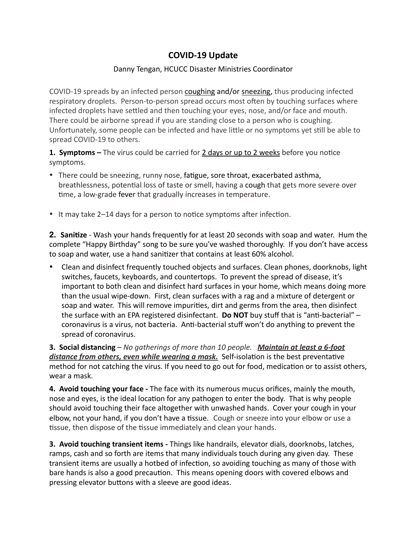## **COVID-19 Update**

## Danny Tengan, HCUCC Disaster Ministries Coordinator

COVID-19 spreads by an infected person coughing and/or sneezing, thus producing infected respiratory droplets. Person-to-person spread occurs most often by touching surfaces where infected droplets have settled and then touching your eyes, nose, and/or face and mouth. There could be airborne spread if you are standing close to a person who is coughing. Unfortunately, some people can be infected and have little or no symptoms yet still be able to spread COVID-19 to others.

**1. Symptoms** – The virus could be carried for 2 days or up to 2 weeks before you notice symptoms. 

- There could be sneezing, runny nose, fatigue, sore throat, exacerbated [asthma](https://www.medicalnewstoday.com/info/asthma/), breathlessness, potential loss of taste or smell, having a cough that gets more severe over time, a low-grade fever that gradually increases in temperature.
- It may take 2–14 days for a person to notice symptoms after infection.

**2. Sanitize** - Wash your hands frequently for at least 20 seconds with soap and water. Hum the complete "Happy Birthday" song to be sure you've washed thoroughly. If you don't have access to soap and water, use a hand sanitizer that contains at least 60% alcohol.

Clean and disinfect frequently touched objects and surfaces. Clean phones, doorknobs, light switches, faucets, keyboards, and countertops. To prevent the spread of disease, it's important to both clean and disinfect hard surfaces in your home, which means doing more than the usual wipe-down. First, clean surfaces with a rag and a mixture of detergent or soap and water. This will remove impurities, dirt and germs from the area, then disinfect the surface with an EPA registered disinfectant. Do NOT buy stuff that is "anti-bacterial" coronavirus is a virus, not bacteria. Anti-bacterial stuff won't do anything to prevent the spread of coronavirus.

**3. Social distancing** – No gatherings of more than 10 people. Maintain at least a 6-foot *distance from others, even while wearing a mask.* Self-isolation is the best preventative method for not catching the virus. If you need to go out for food, medication or to assist others, wear a mask.

4. Avoid touching your face - The face with its numerous mucus orifices, mainly the mouth, nose and eyes, is the ideal location for any pathogen to enter the body. That is why people should avoid touching their face altogether with unwashed hands. Cover your cough in your elbow, not your hand, if you don't have a tissue. Cough or sneeze into your elbow or use a tissue, then dispose of the tissue immediately and clean your hands.

**3. Avoid touching transient items** - Things like handrails, elevator dials, doorknobs, latches, ramps, cash and so forth are items that many individuals touch during any given day. These transient items are usually a hotbed of infection, so avoiding touching as many of those with bare hands is also a good precaution. This means opening doors with covered elbows and pressing elevator buttons with a sleeve are good ideas.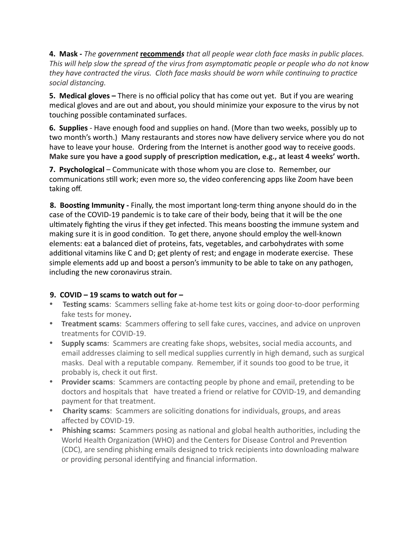**4.** Mask - The government **[recommend](https://www.cdc.gov/coronavirus/2019-ncov/prevent-getting-sick/diy-cloth-face-coverings.html%22%20%5Ct%20%22_blank)s** that all people wear cloth face masks in public places. This will help slow the spread of the virus from asymptomatic people or people who do not know *they have contracted the virus. Cloth face masks should be worn while continuing to practice social distancing.*

**5. Medical gloves** – There is no official policy that has come out yet. But if you are wearing medical gloves and are out and about, you should minimize your exposure to the virus by not touching possible contaminated surfaces.

**6. Supplies** - Have enough food and supplies on hand. (More than two weeks, possibly up to two month's worth.) Many restaurants and stores now have delivery service where you do not have to leave your house. Ordering from the Internet is another good way to receive goods. Make sure you have a good supply of prescription medication, e.g., at least 4 weeks' worth.

**7.** Psychological – Communicate with those whom you are close to. Remember, our communications still work; even more so, the video conferencing apps like Zoom have been taking off.

**8. Boosting Immunity** - Finally, the most important long-term thing anyone should do in the case of the COVID-19 pandemic is to take care of their body, being that it will be the one ultimately fighting the virus if they get infected. This means boosting the immune system and making sure it is in good condition. To get there, anyone should employ the well-known elements: eat a balanced diet of proteins, fats, vegetables, and carbohydrates with some additional vitamins like C and D; get plenty of rest; and engage in moderate exercise. These simple elements add up and boost a person's immunity to be able to take on any pathogen, including the new coronavirus strain.

## 9. COVID  $-19$  scams to watch out for  $-$

- **Testing scams**: Scammers selling fake at-home test kits or going door-to-door performing fake tests for money.
- Treatment scams: Scammers offering to sell fake cures, vaccines, and advice on unproven treatments for COVID-19.
- **Supply scams**: Scammers are creating fake shops, websites, social media accounts, and email addresses claiming to sell medical supplies currently in high demand, such as surgical masks. Deal with a reputable company. Remember, if it sounds too good to be true, it probably is, check it out first.
- **Provider scams**: Scammers are contacting people by phone and email, pretending to be doctors and hospitals that have treated a friend or relative for COVID-19, and demanding payment for that treatment.
- **Charity scams**: Scammers are soliciting donations for individuals, groups, and areas affected by COVID-19.
- **Phishing scams:** Scammers posing as national and global health authorities, including the World Health Organization (WHO) and the Centers for Disease Control and Prevention (CDC), are sending phishing emails designed to trick recipients into downloading malware or providing personal identifying and financial information.